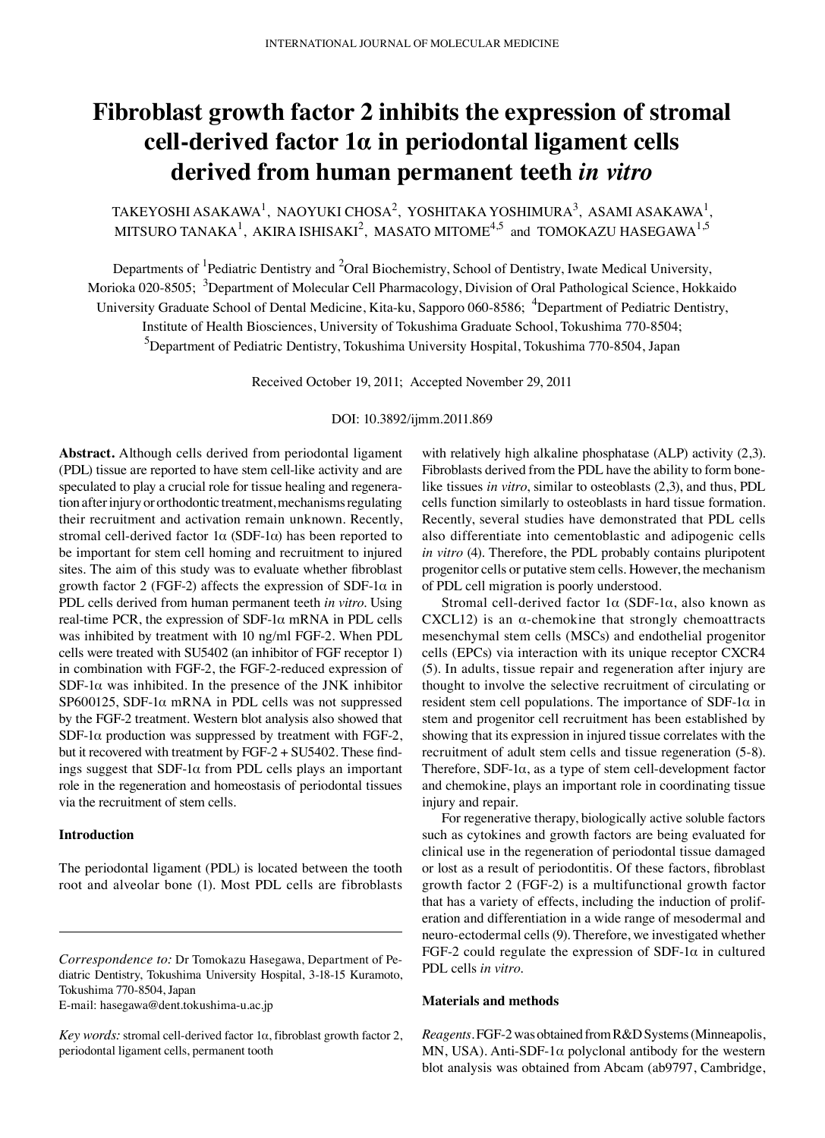# **Fibroblast growth factor 2 inhibits the expression of stromal cell-derived factor 1α in periodontal ligament cells derived from human permanent teeth** *in vitro*

TAKEYOSHI ASAKAWA<sup>1</sup>, NAOYUKI CHOSA<sup>2</sup>, YOSHITAKA YOSHIMURA<sup>3</sup>, ASAMI ASAKAWA<sup>1</sup>, MITSURO TANAKA<sup>1</sup>, AKIRA ISHISAKI<sup>2</sup>, MASATO MITOME<sup>4,5</sup> and TOMOKAZU HASEGAWA<sup>1,5</sup>

Departments of <sup>1</sup>Pediatric Dentistry and <sup>2</sup>Oral Biochemistry, School of Dentistry, Iwate Medical University, Morioka 020-8505; <sup>3</sup>Department of Molecular Cell Pharmacology, Division of Oral Pathological Science, Hokkaido University Graduate School of Dental Medicine, Kita-ku, Sapporo 060-8586; <sup>4</sup>Department of Pediatric Dentistry, Institute of Health Biosciences, University of Tokushima Graduate School, Tokushima 770-8504; 5 Department of Pediatric Dentistry, Tokushima University Hospital, Tokushima 770-8504, Japan

Received October 19, 2011; Accepted November 29, 2011

DOI: 10.3892/ijmm.2011.869

**Abstract.** Although cells derived from periodontal ligament (PDL) tissue are reported to have stem cell-like activity and are speculated to play a crucial role for tissue healing and regeneration after injury or orthodontic treatment, mechanisms regulating their recruitment and activation remain unknown. Recently, stromal cell-derived factor  $1\alpha$  (SDF-1 $\alpha$ ) has been reported to be important for stem cell homing and recruitment to injured sites. The aim of this study was to evaluate whether fibroblast growth factor 2 (FGF-2) affects the expression of SDF-1 $\alpha$  in PDL cells derived from human permanent teeth *in vitro*. Using real-time PCR, the expression of SDF-1α mRNA in PDL cells was inhibited by treatment with 10 ng/ml FGF-2. When PDL cells were treated with SU5402 (an inhibitor of FGF receptor 1) in combination with FGF-2, the FGF-2-reduced expression of SDF-1 $\alpha$  was inhibited. In the presence of the JNK inhibitor SP600125, SDF-1 $\alpha$  mRNA in PDL cells was not suppressed by the FGF-2 treatment. Western blot analysis also showed that SDF-1 $\alpha$  production was suppressed by treatment with FGF-2, but it recovered with treatment by FGF-2 + SU5402. These findings suggest that  $SDF-1\alpha$  from PDL cells plays an important role in the regeneration and homeostasis of periodontal tissues via the recruitment of stem cells.

## **Introduction**

The periodontal ligament (PDL) is located between the tooth root and alveolar bone (1). Most PDL cells are fibroblasts

E-mail: hasegawa@dent.tokushima-u.ac.jp

with relatively high alkaline phosphatase (ALP) activity (2,3). Fibroblasts derived from the PDL have the ability to form bonelike tissues *in vitro*, similar to osteoblasts (2,3), and thus, PDL cells function similarly to osteoblasts in hard tissue formation. Recently, several studies have demonstrated that PDL cells also differentiate into cementoblastic and adipogenic cells *in vitro* (4). Therefore, the PDL probably contains pluripotent progenitor cells or putative stem cells. However, the mechanism of PDL cell migration is poorly understood.

Stromal cell-derived factor  $1\alpha$  (SDF-1 $\alpha$ , also known as CXCL12) is an  $\alpha$ -chemokine that strongly chemoattracts mesenchymal stem cells (MSCs) and endothelial progenitor cells (EPCs) via interaction with its unique receptor CXCR4 (5). In adults, tissue repair and regeneration after injury are thought to involve the selective recruitment of circulating or resident stem cell populations. The importance of SDF-1 $\alpha$  in stem and progenitor cell recruitment has been established by showing that its expression in injured tissue correlates with the recruitment of adult stem cells and tissue regeneration (5-8). Therefore,  $SDF-1\alpha$ , as a type of stem cell-development factor and chemokine, plays an important role in coordinating tissue injury and repair.

For regenerative therapy, biologically active soluble factors such as cytokines and growth factors are being evaluated for clinical use in the regeneration of periodontal tissue damaged or lost as a result of periodontitis. Of these factors, fibroblast growth factor 2 (FGF-2) is a multifunctional growth factor that has a variety of effects, including the induction of proliferation and differentiation in a wide range of mesodermal and neuro-ectodermal cells (9). Therefore, we investigated whether FGF-2 could regulate the expression of SDF-1 $\alpha$  in cultured PDL cells *in vitro*.

## **Materials and methods**

*Reagents.* FGF-2 was obtained from R&D Systems (Minneapolis, MN, USA). Anti-SDF-1 $\alpha$  polyclonal antibody for the western blot analysis was obtained from Abcam (ab9797, Cambridge,

*Correspondence to:* Dr Tomokazu Hasegawa, Department of Pediatric Dentistry, Tokushima University Hospital, 3-18-15 Kuramoto, Tokushima 770-8504, Japan

*Key words:* stromal cell-derived factor 1α, fibroblast growth factor 2, periodontal ligament cells, permanent tooth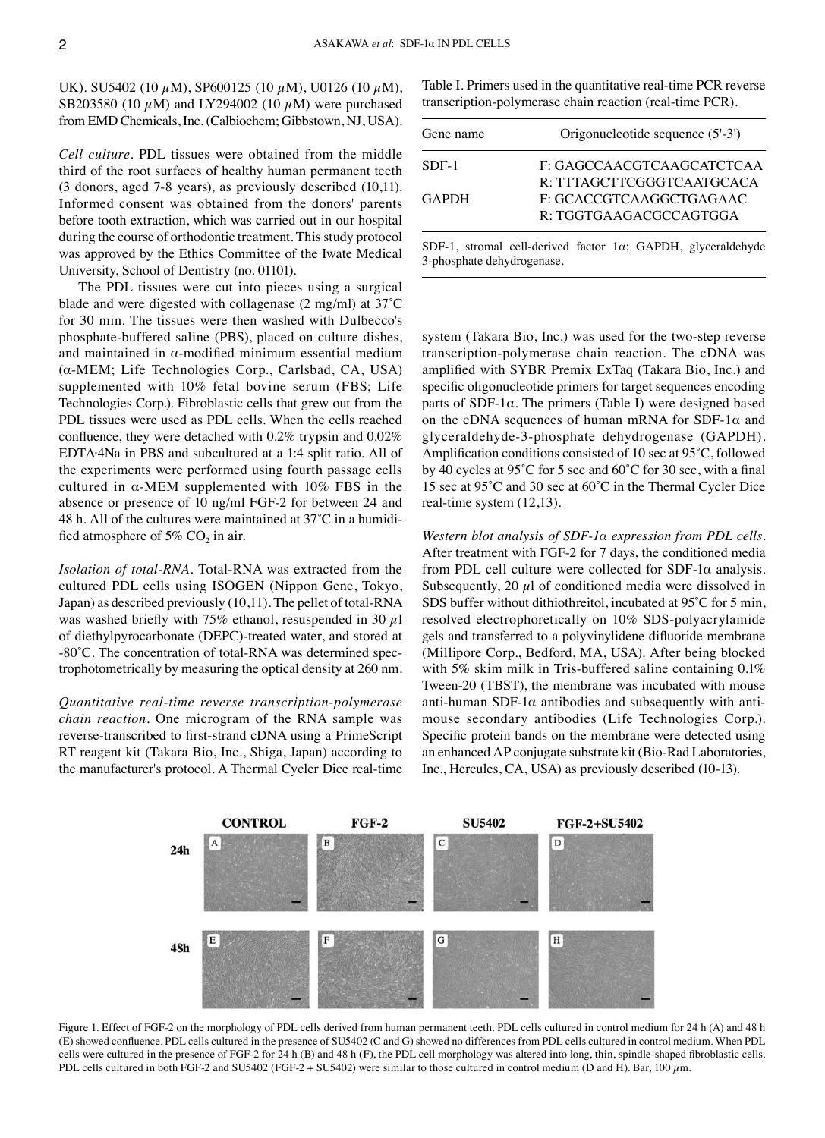UK). SU5402 (10  $\mu$ M), SP600125 (10  $\mu$ M), U0126 (10  $\mu$ M), SB203580 (10  $\mu$ M) and LY294002 (10  $\mu$ M) were purchased from EMD Chemicals, Inc. (Calbiochem; Gibbstown, NJ, USA).

*Cell culture.* PDL tissues were obtained from the middle third of the root surfaces of healthy human permanent teeth (3 donors, aged 7-8 years), as previously described (10,11). Informed consent was obtained from the donors' parents before tooth extraction, which was carried out in our hospital during the course of orthodontic treatment. This study protocol was approved by the Ethics Committee of the Iwate Medical University, School of Dentistry (no. 01101).

The PDL tissues were cut into pieces using a surgical blade and were digested with collagenase (2 mg/ml) at 37˚C for 30 min. The tissues were then washed with Dulbecco's phosphate-buffered saline (PBS), placed on culture dishes, and maintained in  $\alpha$ -modified minimum essential medium (α-MEM; Life Technologies Corp., Carlsbad, CA, USA) supplemented with 10% fetal bovine serum (FBS; Life Technologies Corp.). Fibroblastic cells that grew out from the PDL tissues were used as PDL cells. When the cells reached confluence, they were detached with 0.2% trypsin and 0.02% EDTA·4Na in PBS and subcultured at a 1:4 split ratio. All of the experiments were performed using fourth passage cells cultured in  $\alpha$ -MEM supplemented with 10% FBS in the absence or presence of 10 ng/ml FGF-2 for between 24 and 48 h. All of the cultures were maintained at 37˚C in a humidified atmosphere of 5%  $CO<sub>2</sub>$  in air.

*Isolation of total-RNA.* Total-RNA was extracted from the cultured PDL cells using ISOGEN (Nippon Gene, Tokyo, Japan) as described previously (10,11). The pellet of total-RNA was washed briefly with 75% ethanol, resuspended in 30  $\mu$ l of diethylpyrocarbonate (DEPC)-treated water, and stored at -80˚C. The concentration of total-RNA was determined spectrophotometrically by measuring the optical density at 260 nm.

*Quantitative real-time reverse transcription-polymerase chain reaction.* One microgram of the RNA sample was reverse-transcribed to first-strand cDNA using a PrimeScript RT reagent kit (Takara Bio, Inc., Shiga, Japan) according to the manufacturer's protocol. A Thermal Cycler Dice real-time Table I. Primers used in the quantitative real-time PCR reverse transcription-polymerase chain reaction (real-time PCR).

| Gene name    | Origonucleotide sequence (5'-3')                                          |
|--------------|---------------------------------------------------------------------------|
| $SDF-1$      | F: GAGCCAACGTCAAGCATCTCAA                                                 |
|              | R: TTTAGCTTCGGGTCAATGCACA                                                 |
| <b>GAPDH</b> | F: GCACCGTCAAGGCTGAGAAC                                                   |
|              | R: TGGTGAAGACGCCAGTGGA                                                    |
|              | $CDE_1$ stromal sall derived feator $1\omega$ , $CADDII$ always identical |

SDF-1, stromal cell-derived factor 1α; GAPDH, glyceraldehyde 3-phosphate dehydrogenase.

system (Takara Bio, Inc.) was used for the two-step reverse transcription-polymerase chain reaction. The cDNA was amplified with SYBR Premix ExTaq (Takara Bio, Inc.) and specific oligonucleotide primers for target sequences encoding parts of SDF-1α. The primers (Table I) were designed based on the cDNA sequences of human mRNA for SDF-1 $\alpha$  and glyceraldehyde-3-phosphate dehydrogenase (GAPDH). Amplification conditions consisted of 10 sec at 95˚C, followed by 40 cycles at 95˚C for 5 sec and 60˚C for 30 sec, with a final 15 sec at 95˚C and 30 sec at 60˚C in the Thermal Cycler Dice real-time system (12,13).

*Western blot analysis of SDF-1α expression from PDL cells.*  After treatment with FGF-2 for 7 days, the conditioned media from PDL cell culture were collected for  $SDF-1\alpha$  analysis. Subsequently, 20  $\mu$ l of conditioned media were dissolved in SDS buffer without dithiothreitol, incubated at 95˚C for 5 min, resolved electrophoretically on 10% SDS-polyacrylamide gels and transferred to a polyvinylidene difluoride membrane (Millipore Corp., Bedford, MA, USA). After being blocked with 5% skim milk in Tris-buffered saline containing 0.1% Tween-20 (TBST), the membrane was incubated with mouse anti-human SDF-1 $\alpha$  antibodies and subsequently with antimouse secondary antibodies (Life Technologies Corp.). Specific protein bands on the membrane were detected using an enhanced AP conjugate substrate kit (Bio-Rad Laboratories, Inc., Hercules, CA, USA) as previously described (10-13).



Figure 1. Effect of FGF-2 on the morphology of PDL cells derived from human permanent teeth. PDL cells cultured in control medium for 24 h (A) and 48 h (E) showed confluence. PDL cells cultured in the presence of SU5402 (C and G) showed no differences from PDL cells cultured in control medium. When PDL cells were cultured in the presence of FGF-2 for 24 h (B) and 48 h (F), the PDL cell morphology was altered into long, thin, spindle-shaped fibroblastic cells. PDL cells cultured in both FGF-2 and SU5402 (FGF-2 + SU5402) were similar to those cultured in control medium (D and H). Bar, 100 µm.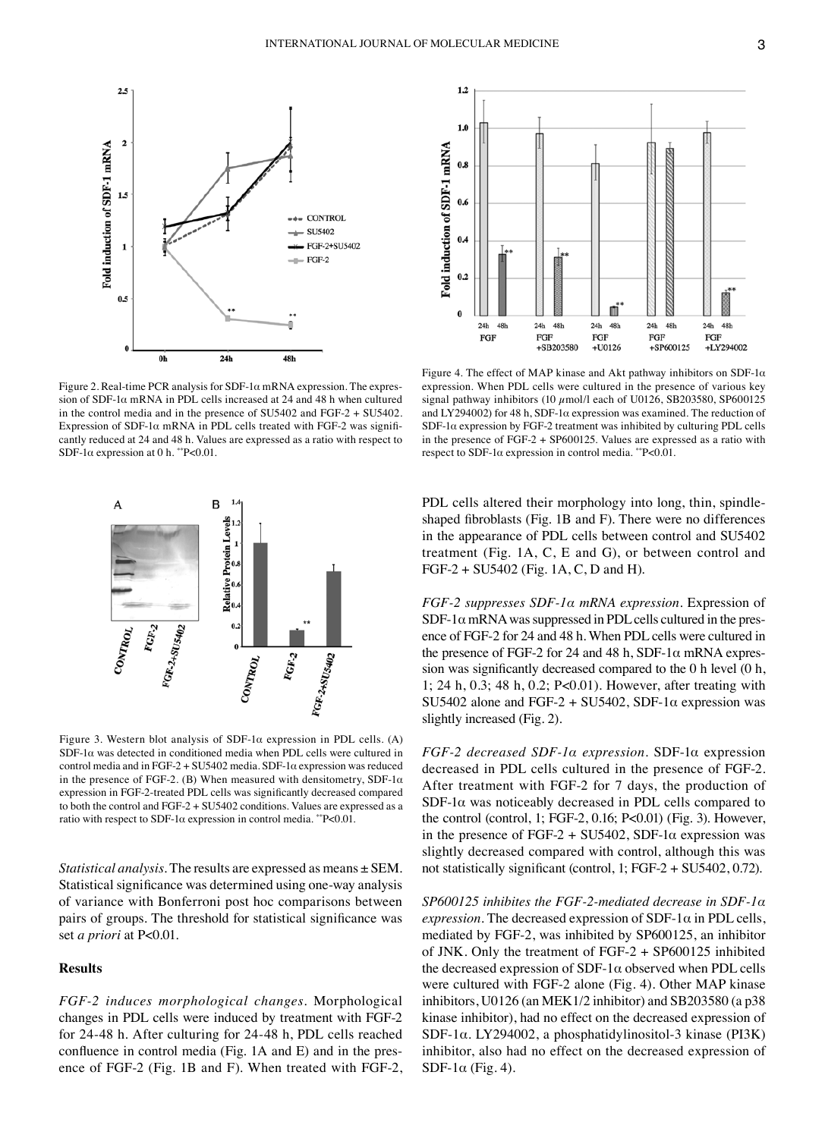

Figure 2. Real-time PCR analysis for SDF-1 $\alpha$  mRNA expression. The expression of SDF-1 $\alpha$  mRNA in PDL cells increased at 24 and 48 h when cultured in the control media and in the presence of SU5402 and FGF-2 + SU5402. Expression of SDF-1 $\alpha$  mRNA in PDL cells treated with FGF-2 was significantly reduced at 24 and 48 h. Values are expressed as a ratio with respect to SDF-1 $\alpha$  expression at 0 h. \*\*P<0.01.



Figure 3. Western blot analysis of SDF-1 $\alpha$  expression in PDL cells. (A) SDF-1 $\alpha$  was detected in conditioned media when PDL cells were cultured in control media and in FGF-2 + SU5402 media. SDF-1 $\alpha$  expression was reduced in the presence of FGF-2. (B) When measured with densitometry, SDF-1 $\alpha$ expression in FGF-2-treated PDL cells was significantly decreased compared to both the control and FGF-2 + SU5402 conditions. Values are expressed as a ratio with respect to SDF-1α expression in control media. \*\*P<0.01.

*Statistical analysis.* The results are expressed as means ± SEM. Statistical significance was determined using one-way analysis of variance with Bonferroni post hoc comparisons between pairs of groups. The threshold for statistical significance was set *a priori* at P<0.01.

## **Results**

*FGF-2 induces morphological changes.* Morphological changes in PDL cells were induced by treatment with FGF-2 for 24-48 h. After culturing for 24-48 h, PDL cells reached confluence in control media (Fig. 1A and E) and in the presence of FGF-2 (Fig. 1B and F). When treated with FGF-2,



Figure 4. The effect of MAP kinase and Akt pathway inhibitors on SDF-1 $\alpha$ expression. When PDL cells were cultured in the presence of various key signal pathway inhibitors (10  $\mu$ mol/l each of U0126, SB203580, SP600125 and LY294002) for 48 h, SDF-1α expression was examined. The reduction of SDF-1 $\alpha$  expression by FGF-2 treatment was inhibited by culturing PDL cells in the presence of FGF-2 + SP600125. Values are expressed as a ratio with respect to SDF-1 $\alpha$  expression in control media. \*\*P<0.01.

PDL cells altered their morphology into long, thin, spindleshaped fibroblasts (Fig. 1B and F). There were no differences in the appearance of PDL cells between control and SU5402 treatment (Fig. 1A, C, E and G), or between control and FGF-2 + SU5402 (Fig. 1A, C, D and H).

*FGF-2 suppresses SDF-1α mRNA expression.* Expression of  $SDF-1\alpha$  mRNA was suppressed in PDL cells cultured in the presence of FGF-2 for 24 and 48 h. When PDL cells were cultured in the presence of FGF-2 for 24 and 48 h, SDF-1 $\alpha$  mRNA expression was significantly decreased compared to the 0 h level (0 h, 1; 24 h, 0.3; 48 h, 0.2; P<0.01). However, after treating with SU5402 alone and FGF-2 + SU5402, SDF-1 $\alpha$  expression was slightly increased (Fig. 2).

*FGF-2 decreased SDF-1α expression.* SDF-1α expression decreased in PDL cells cultured in the presence of FGF-2. After treatment with FGF-2 for 7 days, the production of  $SDF-1\alpha$  was noticeably decreased in PDL cells compared to the control (control, 1; FGF-2, 0.16; P<0.01) (Fig. 3). However, in the presence of FGF-2 + SU5402, SDF-1 $\alpha$  expression was slightly decreased compared with control, although this was not statistically significant (control, 1; FGF-2 + SU5402, 0.72).

*SP600125 inhibites the FGF-2-mediated decrease in SDF-1α*  $expression$ . The decreased expression of SDF-1 $\alpha$  in PDL cells, mediated by FGF-2, was inhibited by SP600125, an inhibitor of JNK. Only the treatment of FGF-2 + SP600125 inhibited the decreased expression of SDF-1 $\alpha$  observed when PDL cells were cultured with FGF-2 alone (Fig. 4). Other MAP kinase inhibitors, U0126 (an MEK1/2 inhibitor) and SB203580 (a p38 kinase inhibitor), had no effect on the decreased expression of SDF-1α. LY294002, a phosphatidylinositol-3 kinase (PI3K) inhibitor, also had no effect on the decreased expression of SDF-1 $\alpha$  (Fig. 4).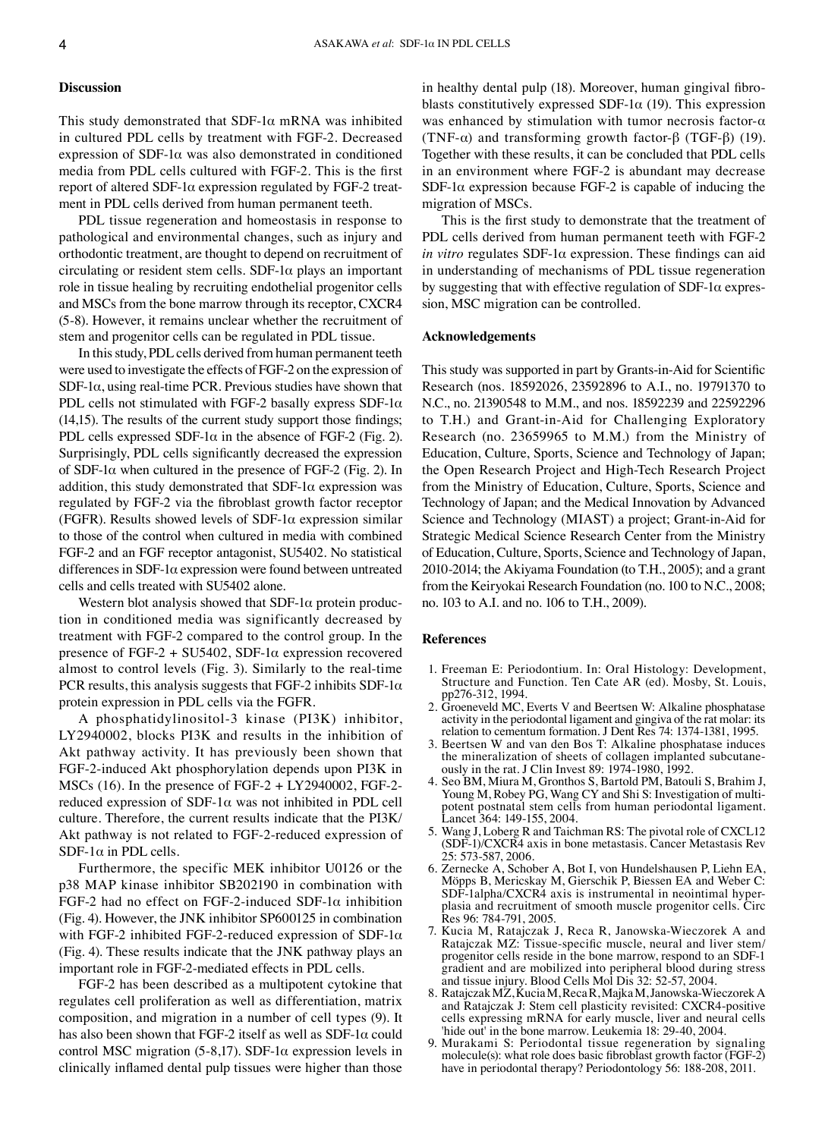#### **Discussion**

This study demonstrated that  $SDF-1\alpha$  mRNA was inhibited in cultured PDL cells by treatment with FGF-2. Decreased expression of SDF-1 $\alpha$  was also demonstrated in conditioned media from PDL cells cultured with FGF-2. This is the first report of altered SDF-1α expression regulated by FGF-2 treatment in PDL cells derived from human permanent teeth.

PDL tissue regeneration and homeostasis in response to pathological and environmental changes, such as injury and orthodontic treatment, are thought to depend on recruitment of circulating or resident stem cells.  $SDF-1\alpha$  plays an important role in tissue healing by recruiting endothelial progenitor cells and MSCs from the bone marrow through its receptor, CXCR4 (5-8). However, it remains unclear whether the recruitment of stem and progenitor cells can be regulated in PDL tissue.

In this study, PDL cells derived from human permanent teeth were used to investigate the effects of FGF-2 on the expression of SDF-1 $\alpha$ , using real-time PCR. Previous studies have shown that PDL cells not stimulated with FGF-2 basally express SDF-1 $\alpha$ (14,15). The results of the current study support those findings; PDL cells expressed SDF-1 $\alpha$  in the absence of FGF-2 (Fig. 2). Surprisingly, PDL cells significantly decreased the expression of SDF-1 $\alpha$  when cultured in the presence of FGF-2 (Fig. 2). In addition, this study demonstrated that  $SDF-1\alpha$  expression was regulated by FGF-2 via the fibroblast growth factor receptor (FGFR). Results showed levels of SDF-1 $\alpha$  expression similar to those of the control when cultured in media with combined FGF-2 and an FGF receptor antagonist, SU5402. No statistical differences in SDF-1α expression were found between untreated cells and cells treated with SU5402 alone.

Western blot analysis showed that  $SDF-1\alpha$  protein production in conditioned media was significantly decreased by treatment with FGF-2 compared to the control group. In the presence of FGF-2 + SU5402, SDF-1 $\alpha$  expression recovered almost to control levels (Fig. 3). Similarly to the real-time PCR results, this analysis suggests that FGF-2 inhibits SDF-1 $\alpha$ protein expression in PDL cells via the FGFR.

A phosphatidylinositol-3 kinase (PI3K) inhibitor, LY2940002, blocks PI3K and results in the inhibition of Akt pathway activity. It has previously been shown that FGF-2-induced Akt phosphorylation depends upon PI3K in MSCs (16). In the presence of FGF-2 + LY2940002, FGF-2 reduced expression of SDF-1α was not inhibited in PDL cell culture. Therefore, the current results indicate that the PI3K/ Akt pathway is not related to FGF-2-reduced expression of SDF-1 $\alpha$  in PDL cells.

Furthermore, the specific MEK inhibitor U0126 or the p38 MAP kinase inhibitor SB202190 in combination with FGF-2 had no effect on FGF-2-induced SDF-1 $\alpha$  inhibition (Fig. 4). However, the JNK inhibitor SP600125 in combination with FGF-2 inhibited FGF-2-reduced expression of SDF-1 $\alpha$ (Fig. 4). These results indicate that the JNK pathway plays an important role in FGF-2-mediated effects in PDL cells.

FGF-2 has been described as a multipotent cytokine that regulates cell proliferation as well as differentiation, matrix composition, and migration in a number of cell types (9). It has also been shown that FGF-2 itself as well as  $SDF-1\alpha$  could control MSC migration (5-8,17). SDF-1 $\alpha$  expression levels in clinically inflamed dental pulp tissues were higher than those in healthy dental pulp (18). Moreover, human gingival fibroblasts constitutively expressed SDF-1 $\alpha$  (19). This expression was enhanced by stimulation with tumor necrosis factor-α (TNF-α) and transforming growth factor-β (TGF-β) (19). Together with these results, it can be concluded that PDL cells in an environment where FGF-2 is abundant may decrease SDF-1 $\alpha$  expression because FGF-2 is capable of inducing the migration of MSCs.

This is the first study to demonstrate that the treatment of PDL cells derived from human permanent teeth with FGF-2 *in vitro* regulates SDF-1α expression. These findings can aid in understanding of mechanisms of PDL tissue regeneration by suggesting that with effective regulation of  $SDF-1\alpha$  expression, MSC migration can be controlled.

### **Acknowledgements**

This study was supported in part by Grants-in-Aid for Scientific Research (nos. 18592026, 23592896 to A.I., no. 19791370 to N.C., no. 21390548 to M.M., and nos. 18592239 and 22592296 to T.H.) and Grant-in-Aid for Challenging Exploratory Research (no. 23659965 to M.M.) from the Ministry of Education, Culture, Sports, Science and Technology of Japan; the Open Research Project and High-Tech Research Project from the Ministry of Education, Culture, Sports, Science and Technology of Japan; and the Medical Innovation by Advanced Science and Technology (MIAST) a project; Grant-in-Aid for Strategic Medical Science Research Center from the Ministry of Education, Culture, Sports, Science and Technology of Japan, 2010-2014; the Akiyama Foundation (to T.H., 2005); and a grant from the Keiryokai Research Foundation (no. 100 to N.C., 2008; no. 103 to A.I. and no. 106 to T.H., 2009).

#### **References**

- 1. Freeman E: Periodontium. In: Oral Histology: Development, Structure and Function. Ten Cate AR (ed). Mosby, St. Louis, pp276-312, 1994.
- 2. Groeneveld MC, Everts V and Beertsen W: Alkaline phosphatase activity in the periodontal ligament and gingiva of the rat molar: its relation to cementum formation. J Dent Res 74: 1374-1381, 1995.
- 3. Beertsen W and van den Bos T: Alkaline phosphatase induces the mineralization of sheets of collagen implanted subcutaneously in the rat. J Clin Invest 89: 1974-1980, 1992.
- 4. Seo BM, Miura M, Gronthos S, Bartold PM, Batouli S, Brahim J, Young M, Robey PG, Wang CY and Shi S: Investigation of multipotent postnatal stem cells from human periodontal ligament. Lancet 364: 149-155, 2004.
- 5. Wang J, Loberg R and Taichman RS: The pivotal role of CXCL12 (SDF-1)/CXCR4 axis in bone metastasis. Cancer Metastasis Rev 25: 573-587, 2006.
- 6. Zernecke A, Schober A, Bot I, von Hundelshausen P, Liehn EA, Möpps B, Mericskay M, Gierschik P, Biessen EA and Weber C: SDF-1alpha/CXCR4 axis is instrumental in neointimal hyperplasia and recruitment of smooth muscle progenitor cells. Circ Res 96: 784-791, 2005.
- 7. Kucia M, Ratajczak J, Reca R, Janowska-Wieczorek A and Ratajczak MZ: Tissue-specific muscle, neural and liver stem/ progenitor cells reside in the bone marrow, respond to an SDF-1 gradient and are mobilized into peripheral blood during stress and tissue injury. Blood Cells Mol Dis 32: 52-57, 2004.
- 8. Ratajczak MZ, Kucia M, Reca R, Majka M, Janowska-WieczorekA and Ratajczak J: Stem cell plasticity revisited: CXCR4-positive cells expressing mRNA for early muscle, liver and neural cells 'hide out' in the bone marrow. Leukemia 18: 29-40, 2004.
- 9. Murakami S: Periodontal tissue regeneration by signaling molecule(s): what role does basic fibroblast growth factor (FGF-2) have in periodontal therapy? Periodontology 56: 188-208, 2011.